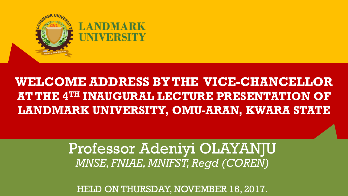

### **WELCOME ADDRESS BY THE VICE-CHANCELLOR AT THE 4TH INAUGURAL LECTURE PRESENTATION OF LANDMARK UNIVERSITY, OMU-ARAN, KWARA STATE**

Professor Adeniyi OLAYANJU *MNSE, FNIAE, MNIFST, Regd (COREN)*

HELD ON THURSDAY, NOVEMBER 16, 2017.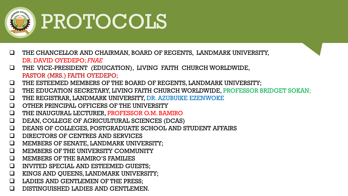

# PROTOCOLS

- THE CHANCELLOR AND CHAIRMAN, BOARD OF REGENTS, LANDMARK UNIVERSITY, DR. DAVID OYEDEPO; *FNAE*
- THE VICE-PRESIDENT (EDUCATION), LIVING FAITH CHURCH WORLDWIDE, PASTOR (MRS.) FAITH OYEDEPO;
- THE ESTEEMED MEMBERS OF THE BOARD OF REGENTS, LANDMARK UNIVERSITY;
- THE EDUCATION SECRETARY, LIVING FAITH CHURCH WORLDWIDE, PROFESSOR BRIDGET SOKAN;
- THE REGISTRAR, LANDMARK UNIVERSITY, DR. AZUBUIKE EZENWOKE
- OTHER PRINCIPAL OFFICERS OF THE UNIVERSITY
- THE INAUGURAL LECTURER, PROFESSOR O.M. BAMIRO
- DEAN, COLLEGE OF AGRICULTURAL SCIENCES (DCAS)
- DEANS OF COLLEGES, POSTGRADUATE SCHOOL AND STUDENT AFFAIRS
- $\Box$  DIRECTORS OF CENTRES AND SERVICES
- MEMBERS OF SENATE, LANDMARK UNIVERSITY;
- D MEMBERS OF THE UNIVERSITY COMMUNITY
- MEMBERS OF THE BAMIRO'S FAMILIES
- INVITED SPECIAL AND ESTEEMED GUESTS;
- **Q** KINGS AND OUEENS, LANDMARK UNIVERSITY;
- LADIES AND GENTLEMEN OF THE PRESS;
- DISTINGUISHED LADIES AND GENTLEMEN.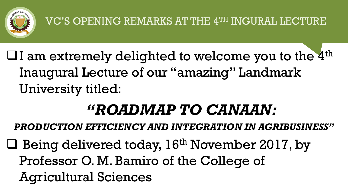

 $\Box$ I am extremely delighted to welcome you to the  $4^{\text{th}}$ Inaugural Lecture of our "amazing" Landmark University titled:

## *"ROADMAP TO CANAAN:*

*PRODUCTION EFFICIENCY AND INTEGRATION IN AGRIBUSINESS"*

 $\Box$  Being delivered today, 16<sup>th</sup> November 2017, by Professor O. M. Bamiro of the College of Agricultural Sciences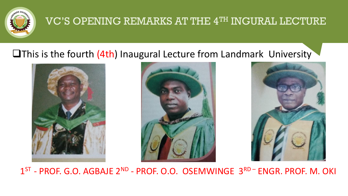

#### VC'S OPENING REMARKS AT THE 4TH INGURAL LECTURE

#### $\Box$ This is the fourth (4th) Inaugural Lecture from Landmark University







1<sup>ST</sup> - PROF. G.O. AGBAJE 2<sup>ND</sup> - PROF. O.O. OSEMWINGE 3<sup>RD-</sup> ENGR. PROF. M. OKI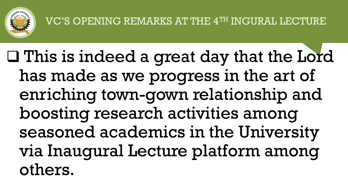

 This is indeed a great day that the Lord has made as we progress in the art of enriching town-gown relationship and boosting research activities among seasoned academics in the University via Inaugural Lecture platform among others.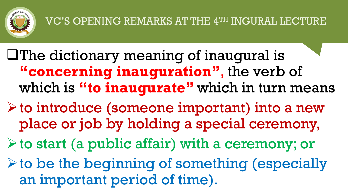

 $\square$  The dictionary meaning of inaugural is **"concerning inauguration"**, the verb of which is **"to inaugurate"** which in turn means

- $\triangleright$  to introduce (someone important) into a new place or job by holding a special ceremony,
- $\triangleright$  to start (a public affair) with a ceremony; or
- $\triangleright$  to be the beginning of something (especially an important period of time).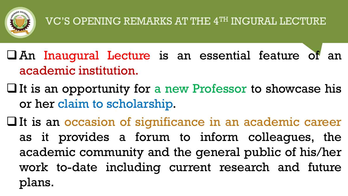

- An Inaugural Lecture is an essential feature of an academic institution.
- $\Box$  It is an opportunity for a new Professor to showcase his or her claim to scholarship.
- $\Box$  It is an occasion of significance in an academic career as it provides a forum to inform colleagues, the academic community and the general public of his/her work to-date including current research and future plans.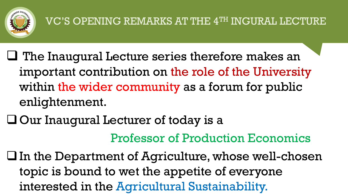

- $\Box$  The Inaugural Lecture series therefore makes an important contribution on the role of the University within the wider community as a forum for public enlightenment.
- $\Box$  Our Inaugural Lecturer of today is a

Professor of Production Economics

 $\Box$  In the Department of Agriculture, whose well-chosen topic is bound to wet the appetite of everyone interested in the Agricultural Sustainability.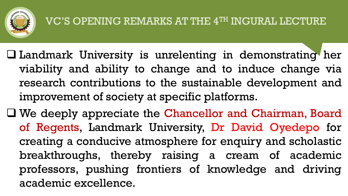

- Landmark University is unrelenting in demonstrating her viability and ability to change and to induce change via research contributions to the sustainable development and improvement of society at specific platforms.
- We deeply appreciate the Chancellor and Chairman, Board of Regents, Landmark University, Dr David Oyedepo for creating a conducive atmosphere for enquiry and scholastic breakthroughs, thereby raising a cream of academic professors, pushing frontiers of knowledge and driving academic excellence.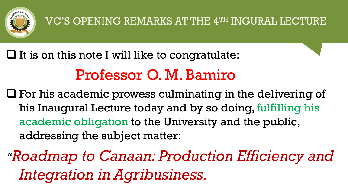

 $\Box$  It is on this note I will like to congratulate:

# Professor O. M. Bamiro

 $\Box$  For his academic prowess culminating in the delivering of his Inaugural Lecture today and by so doing, fulfilling his academic obligation to the University and the public, addressing the subject matter:

*"Roadmap to Canaan: Production Efficiency and Integration in Agribusiness.*